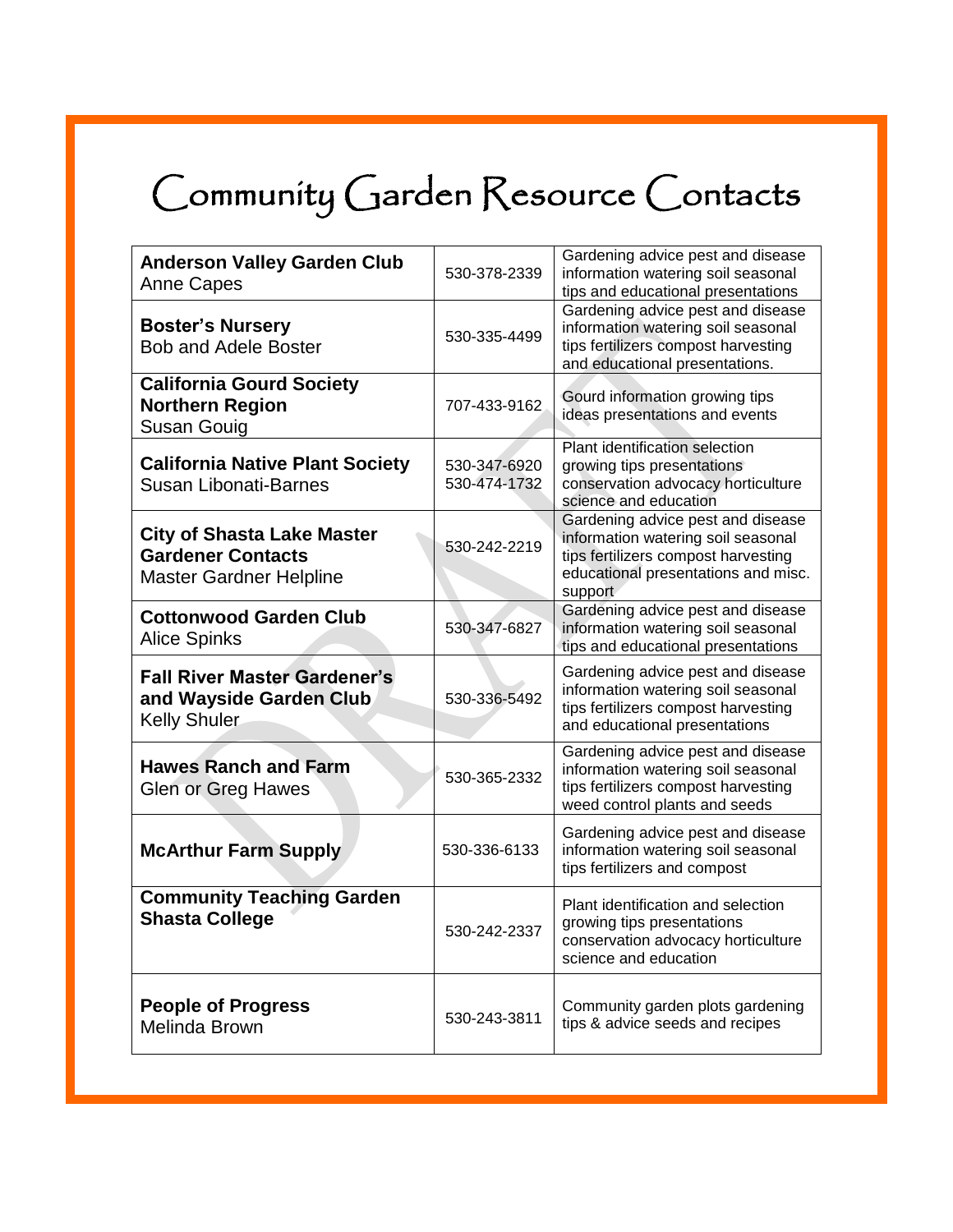## Community Garden Resource Contacts

I

| <b>Anderson Valley Garden Club</b><br><b>Anne Capes</b>                                         | 530-378-2339                 | Gardening advice pest and disease<br>information watering soil seasonal<br>tips and educational presentations                                                    |
|-------------------------------------------------------------------------------------------------|------------------------------|------------------------------------------------------------------------------------------------------------------------------------------------------------------|
| <b>Boster's Nursery</b><br><b>Bob and Adele Boster</b>                                          | 530-335-4499                 | Gardening advice pest and disease<br>information watering soil seasonal<br>tips fertilizers compost harvesting<br>and educational presentations.                 |
| <b>California Gourd Society</b><br><b>Northern Region</b><br>Susan Gouig                        | 707-433-9162                 | Gourd information growing tips<br>ideas presentations and events                                                                                                 |
| <b>California Native Plant Society</b><br><b>Susan Libonati-Barnes</b>                          | 530-347-6920<br>530-474-1732 | Plant identification selection<br>growing tips presentations<br>conservation advocacy horticulture<br>science and education                                      |
| <b>City of Shasta Lake Master</b><br><b>Gardener Contacts</b><br><b>Master Gardner Helpline</b> | 530-242-2219                 | Gardening advice pest and disease<br>information watering soil seasonal<br>tips fertilizers compost harvesting<br>educational presentations and misc.<br>support |
| <b>Cottonwood Garden Club</b><br><b>Alice Spinks</b>                                            | 530-347-6827                 | Gardening advice pest and disease<br>information watering soil seasonal<br>tips and educational presentations                                                    |
| <b>Fall River Master Gardener's</b><br>and Wayside Garden Club<br><b>Kelly Shuler</b>           | 530-336-5492                 | Gardening advice pest and disease<br>information watering soil seasonal<br>tips fertilizers compost harvesting<br>and educational presentations                  |
| <b>Hawes Ranch and Farm</b><br>Glen or Greg Hawes                                               | 530-365-2332                 | Gardening advice pest and disease<br>information watering soil seasonal<br>tips fertilizers compost harvesting<br>weed control plants and seeds                  |
| <b>McArthur Farm Supply</b>                                                                     | 530-336-6133                 | Gardening advice pest and disease<br>information watering soil seasonal<br>tips fertilizers and compost                                                          |
| <b>Community Teaching Garden</b><br><b>Shasta College</b>                                       | 530-242-2337                 | Plant identification and selection<br>growing tips presentations<br>conservation advocacy horticulture<br>science and education                                  |
| <b>People of Progress</b><br>Melinda Brown                                                      | 530-243-3811                 | Community garden plots gardening<br>tips & advice seeds and recipes                                                                                              |